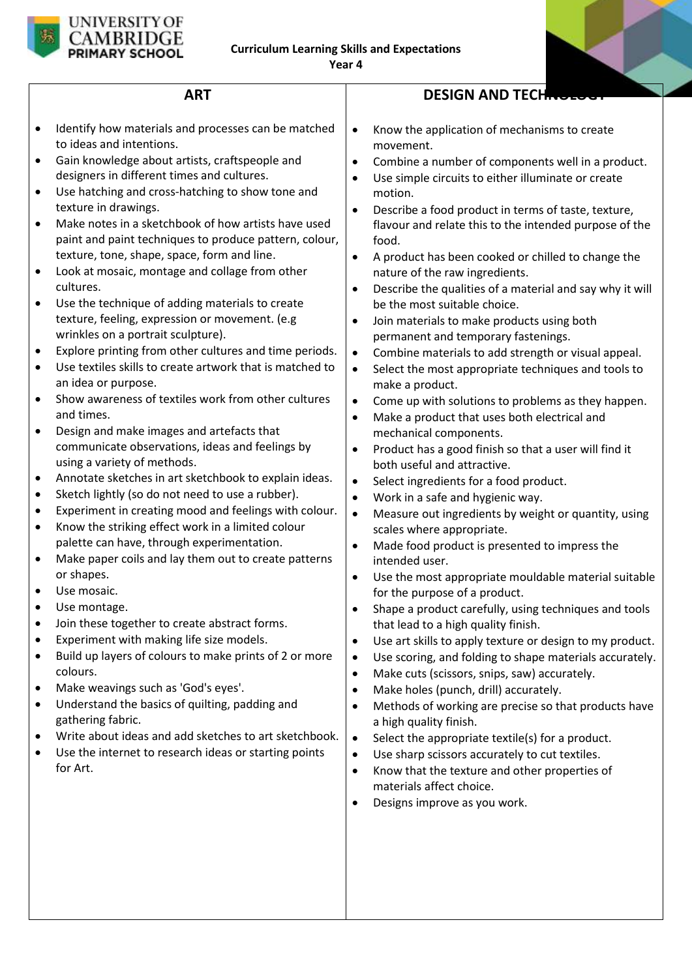

# **ART**

- $\bullet$  Identify how materials and processes can be matched to ideas and intentions.
- Gain knowledge about artists, craftspeople and designers in different times and cultures.
- Use hatching and cross-hatching to show tone and texture in drawings.
- Make notes in a sketchbook of how artists have used paint and paint techniques to produce pattern, colour, texture, tone, shape, space, form and line.
- Look at mosaic, montage and collage from other cultures.
- Use the technique of adding materials to create texture, feeling, expression or movement. (e.g wrinkles on a portrait sculpture).
- Explore printing from other cultures and time periods.
- Use textiles skills to create artwork that is matched to an idea or purpose.
- Show awareness of textiles work from other cultures and times.
- Design and make images and artefacts that communicate observations, ideas and feelings by using a variety of methods.
- Annotate sketches in art sketchbook to explain ideas.
- Sketch lightly (so do not need to use a rubber).
- Experiment in creating mood and feelings with colour.
- Know the striking effect work in a limited colour palette can have, through experimentation.
- Make paper coils and lay them out to create patterns or shapes.
- Use mosaic.
- Use montage.
- Join these together to create abstract forms.
- Experiment with making life size models.
- Build up layers of colours to make prints of 2 or more colours.
- Make weavings such as 'God's eyes'.
- Understand the basics of quilting, padding and gathering fabric.
- Write about ideas and add sketches to art sketchbook.
- Use the internet to research ideas or starting points for Art.

# **DESIGN AND TECH**

- Know the application of mechanisms to create movement.
- Combine a number of components well in a product.
- Use simple circuits to either illuminate or create motion.
- Describe a food product in terms of taste, texture, flavour and relate this to the intended purpose of the food.
- A product has been cooked or chilled to change the nature of the raw ingredients.
- Describe the qualities of a material and say why it will be the most suitable choice.
- Join materials to make products using both permanent and temporary fastenings.
- Combine materials to add strength or visual appeal.
- Select the most appropriate techniques and tools to make a product.
- Come up with solutions to problems as they happen.
- Make a product that uses both electrical and mechanical components.
- Product has a good finish so that a user will find it both useful and attractive.
- Select ingredients for a food product.
- Work in a safe and hygienic way.
- Measure out ingredients by weight or quantity, using scales where appropriate.
- Made food product is presented to impress the intended user.
- Use the most appropriate mouldable material suitable for the purpose of a product.
- Shape a product carefully, using techniques and tools that lead to a high quality finish.
- Use art skills to apply texture or design to my product.
- Use scoring, and folding to shape materials accurately.
- Make cuts (scissors, snips, saw) accurately.
- Make holes (punch, drill) accurately.
- Methods of working are precise so that products have a high quality finish.
- Select the appropriate textile(s) for a product.
- Use sharp scissors accurately to cut textiles.
- Know that the texture and other properties of materials affect choice.
- Designs improve as you work.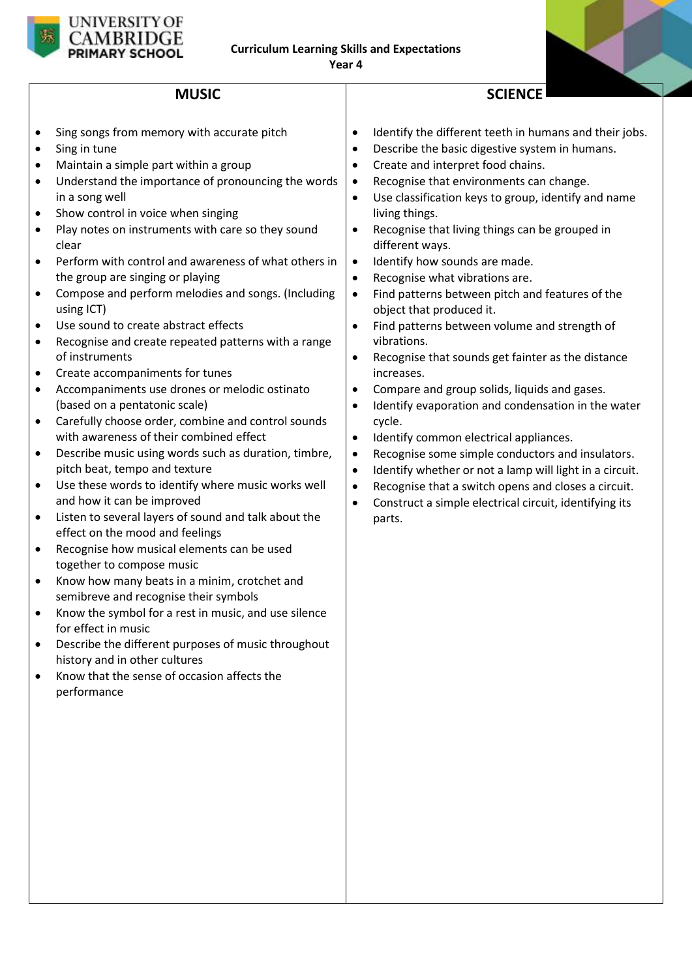

## **MUSIC**

- Sing songs from memory with accurate pitch
- Sing in tune
- Maintain a simple part within a group
- Understand the importance of pronouncing the words in a song well
- Show control in voice when singing
- Play notes on instruments with care so they sound clear
- Perform with control and awareness of what others in the group are singing or playing
- Compose and perform melodies and songs. (Including using ICT)
- Use sound to create abstract effects
- Recognise and create repeated patterns with a range of instruments
- Create accompaniments for tunes
- Accompaniments use drones or melodic ostinato (based on a pentatonic scale)
- Carefully choose order, combine and control sounds with awareness of their combined effect
- Describe music using words such as duration, timbre, pitch beat, tempo and texture
- Use these words to identify where music works well and how it can be improved
- Listen to several layers of sound and talk about the effect on the mood and feelings
- Recognise how musical elements can be used together to compose music
- Know how many beats in a minim, crotchet and semibreve and recognise their symbols
- Know the symbol for a rest in music, and use silence for effect in music
- Describe the different purposes of music throughout history and in other cultures
- Know that the sense of occasion affects the performance

Identify the different teeth in humans and their jobs.

**SCIENCE**

- Describe the basic digestive system in humans.
- Create and interpret food chains.
- Recognise that environments can change.
- Use classification keys to group, identify and name living things.
- Recognise that living things can be grouped in different ways.
- Identify how sounds are made.
- Recognise what vibrations are.
- Find patterns between pitch and features of the object that produced it.
- Find patterns between volume and strength of vibrations.
- Recognise that sounds get fainter as the distance increases.
- Compare and group solids, liquids and gases.
- $\bullet$  Identify evaporation and condensation in the water cycle.
- Identify common electrical appliances.
- Recognise some simple conductors and insulators.
- Identify whether or not a lamp will light in a circuit.
- Recognise that a switch opens and closes a circuit.
- Construct a simple electrical circuit, identifying its parts.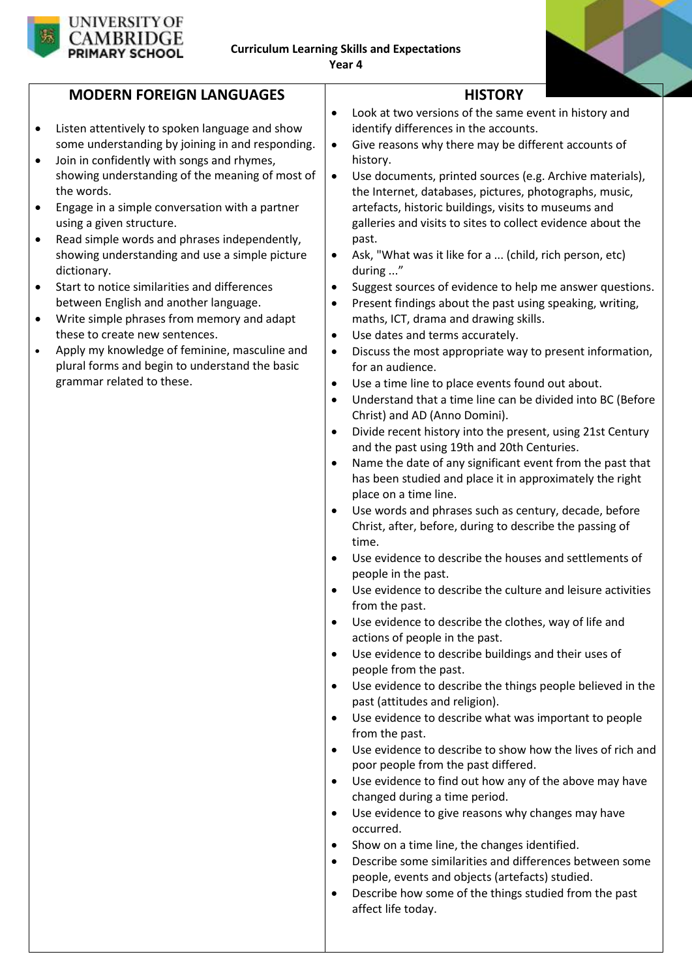



# **MODERN FOREIGN LANGUAGES**

- Listen attentively to spoken language and show some understanding by joining in and responding.
- Join in confidently with songs and rhymes, showing understanding of the meaning of most of the words.
- Engage in a simple conversation with a partner using a given structure.
- Read simple words and phrases independently, showing understanding and use a simple picture dictionary.
- Start to notice similarities and differences between English and another language.
- Write simple phrases from memory and adapt these to create new sentences.
- Apply my knowledge of feminine, masculine and plural forms and begin to understand the basic grammar related to these.
- **HISTORY** Look at two versions of the same event in history and identify differences in the accounts.
- Give reasons why there may be different accounts of history.
- Use documents, printed sources (e.g. Archive materials), the Internet, databases, pictures, photographs, music, artefacts, historic buildings, visits to museums and galleries and visits to sites to collect evidence about the past.
- Ask, "What was it like for a ... (child, rich person, etc) during ..."
- Suggest sources of evidence to help me answer questions.
- Present findings about the past using speaking, writing, maths, ICT, drama and drawing skills.
- Use dates and terms accurately.
- Discuss the most appropriate way to present information, for an audience.
- Use a time line to place events found out about.
- Understand that a time line can be divided into BC (Before Christ) and AD (Anno Domini).
- Divide recent history into the present, using 21st Century and the past using 19th and 20th Centuries.
- Name the date of any significant event from the past that has been studied and place it in approximately the right place on a time line.
- Use words and phrases such as century, decade, before Christ, after, before, during to describe the passing of time.
- Use evidence to describe the houses and settlements of people in the past.
- Use evidence to describe the culture and leisure activities from the past.
- Use evidence to describe the clothes, way of life and actions of people in the past.
- Use evidence to describe buildings and their uses of people from the past.
- Use evidence to describe the things people believed in the past (attitudes and religion).
- Use evidence to describe what was important to people from the past.
- Use evidence to describe to show how the lives of rich and poor people from the past differed.
- Use evidence to find out how any of the above may have changed during a time period.
- Use evidence to give reasons why changes may have occurred.
- Show on a time line, the changes identified.
- Describe some similarities and differences between some people, events and objects (artefacts) studied.
- Describe how some of the things studied from the past affect life today.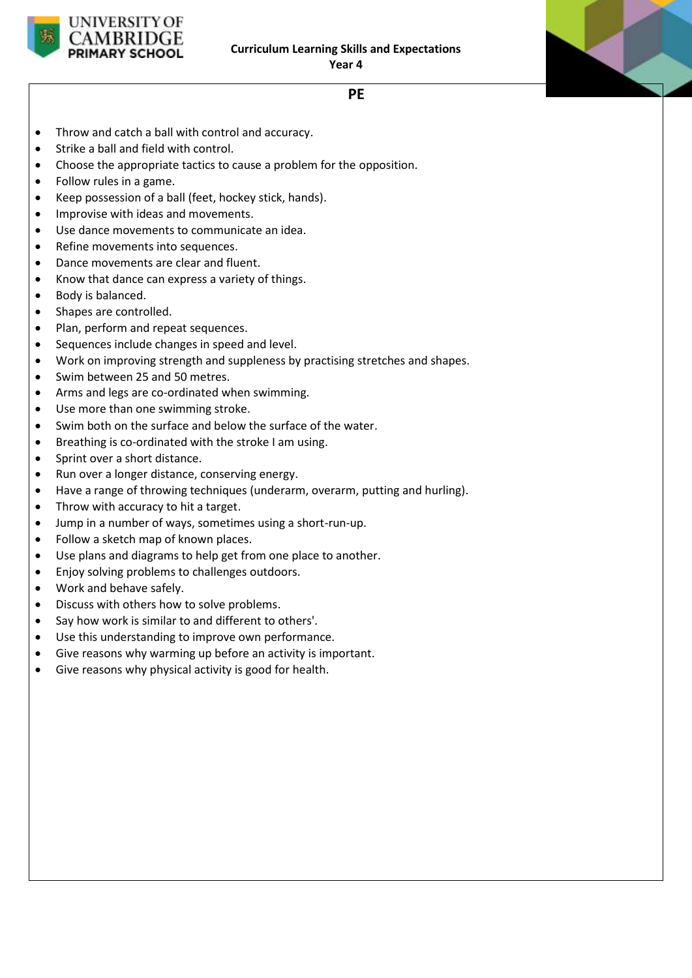



**PE**

- Throw and catch a ball with control and accuracy.
- Strike a ball and field with control.
- Choose the appropriate tactics to cause a problem for the opposition.
- Follow rules in a game.
- Keep possession of a ball (feet, hockey stick, hands).
- Improvise with ideas and movements.
- Use dance movements to communicate an idea.
- Refine movements into sequences.
- Dance movements are clear and fluent.
- Know that dance can express a variety of things.
- Body is balanced.
- Shapes are controlled.
- Plan, perform and repeat sequences.
- Sequences include changes in speed and level.
- Work on improving strength and suppleness by practising stretches and shapes.
- Swim between 25 and 50 metres.
- Arms and legs are co-ordinated when swimming.
- Use more than one swimming stroke.
- Swim both on the surface and below the surface of the water.
- Breathing is co-ordinated with the stroke I am using.
- Sprint over a short distance.
- Run over a longer distance, conserving energy.
- Have a range of throwing techniques (underarm, overarm, putting and hurling).
- Throw with accuracy to hit a target.
- Jump in a number of ways, sometimes using a short-run-up.
- Follow a sketch map of known places.
- Use plans and diagrams to help get from one place to another.
- Enjoy solving problems to challenges outdoors.
- Work and behave safely.
- Discuss with others how to solve problems.
- Say how work is similar to and different to others'.
- Use this understanding to improve own performance.
- Give reasons why warming up before an activity is important.
- Give reasons why physical activity is good for health.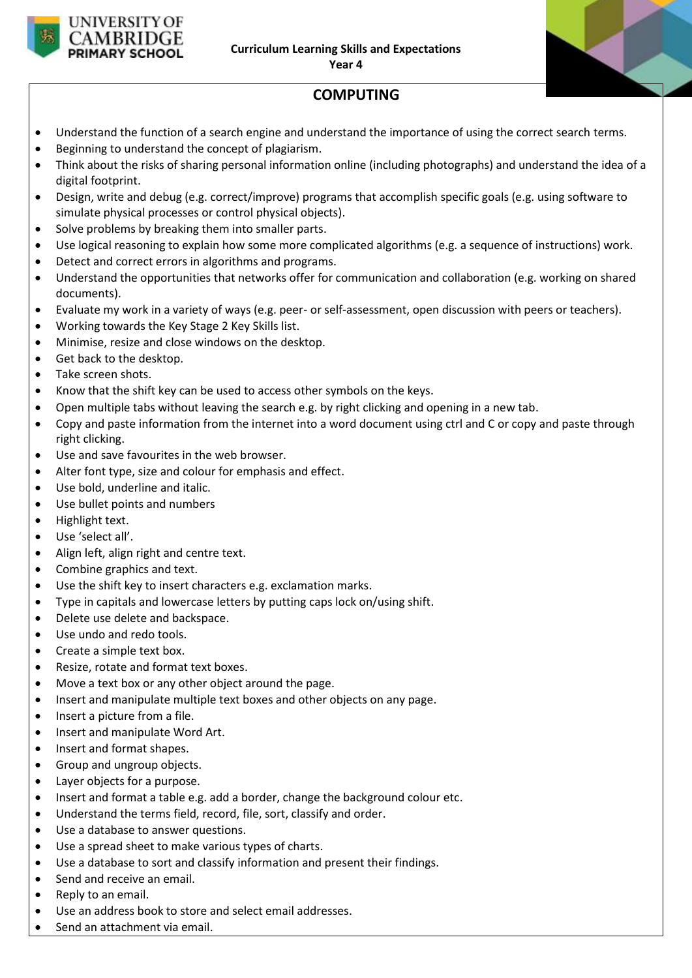

# **COMPUTING**

- Understand the function of a search engine and understand the importance of using the correct search terms.
- Beginning to understand the concept of plagiarism.
- Think about the risks of sharing personal information online (including photographs) and understand the idea of a digital footprint.
- Design, write and debug (e.g. correct/improve) programs that accomplish specific goals (e.g. using software to simulate physical processes or control physical objects).
- Solve problems by breaking them into smaller parts.
- Use logical reasoning to explain how some more complicated algorithms (e.g. a sequence of instructions) work.
- Detect and correct errors in algorithms and programs.
- Understand the opportunities that networks offer for communication and collaboration (e.g. working on shared documents).
- Evaluate my work in a variety of ways (e.g. peer- or self-assessment, open discussion with peers or teachers).
- Working towards the Key Stage 2 Key Skills list.
- Minimise, resize and close windows on the desktop.
- Get back to the desktop.
- Take screen shots.
- Know that the shift key can be used to access other symbols on the keys.
- Open multiple tabs without leaving the search e.g. by right clicking and opening in a new tab.
- Copy and paste information from the internet into a word document using ctrl and C or copy and paste through right clicking.
- Use and save favourites in the web browser.
- Alter font type, size and colour for emphasis and effect.
- Use bold, underline and italic.
- Use bullet points and numbers
- Highlight text.
- Use 'select all'.
- Align left, align right and centre text.
- Combine graphics and text.
- Use the shift key to insert characters e.g. exclamation marks.
- Type in capitals and lowercase letters by putting caps lock on/using shift.
- Delete use delete and backspace.
- Use undo and redo tools.
- Create a simple text box.
- Resize, rotate and format text boxes.
- Move a text box or any other object around the page.
- Insert and manipulate multiple text boxes and other objects on any page.
- Insert a picture from a file.
- Insert and manipulate Word Art.
- Insert and format shapes.
- Group and ungroup objects.
- Layer objects for a purpose.
- Insert and format a table e.g. add a border, change the background colour etc.
- Understand the terms field, record, file, sort, classify and order.
- Use a database to answer questions.
- Use a spread sheet to make various types of charts.
- Use a database to sort and classify information and present their findings.
- Send and receive an email.
- Reply to an email.
- Use an address book to store and select email addresses.
- Send an attachment via email.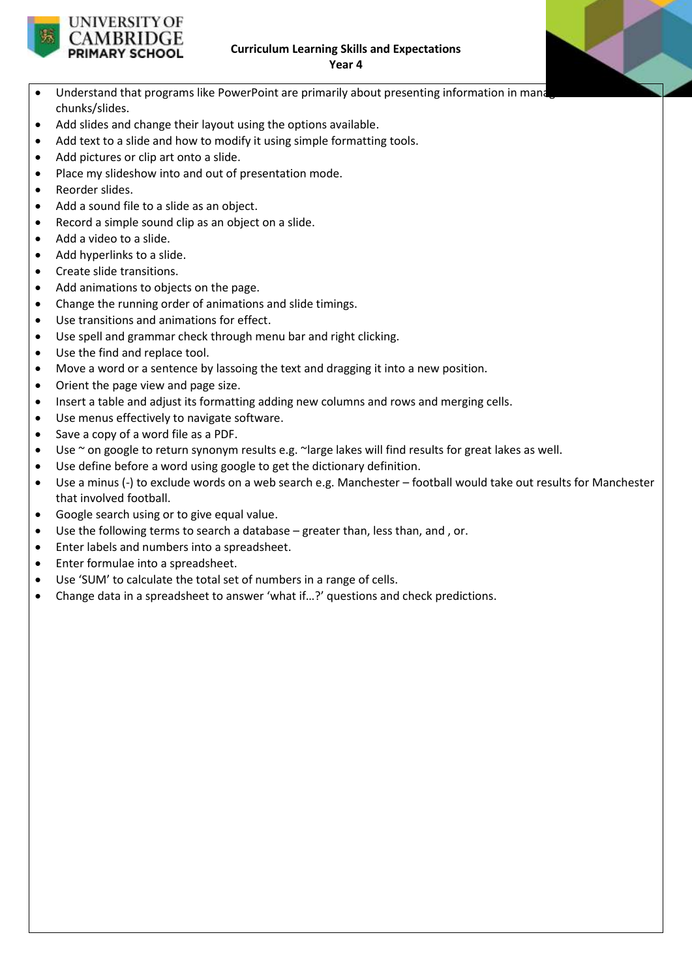

- Understand that programs like PowerPoint are primarily about presenting information in mana chunks/slides.
- Add slides and change their layout using the options available.
- Add text to a slide and how to modify it using simple formatting tools.
- Add pictures or clip art onto a slide.

**UNIVERSITY OF ARRIDG** PRIMARY SCHOOL

- Place my slideshow into and out of presentation mode.
- Reorder slides.
- Add a sound file to a slide as an object.
- Record a simple sound clip as an object on a slide.
- Add a video to a slide.
- Add hyperlinks to a slide.
- Create slide transitions.
- Add animations to objects on the page.
- Change the running order of animations and slide timings.
- Use transitions and animations for effect.
- Use spell and grammar check through menu bar and right clicking.
- Use the find and replace tool.
- Move a word or a sentence by lassoing the text and dragging it into a new position.
- Orient the page view and page size.
- Insert a table and adjust its formatting adding new columns and rows and merging cells.
- Use menus effectively to navigate software.
- Save a copy of a word file as a PDF.
- Use ~ on google to return synonym results e.g. ~large lakes will find results for great lakes as well.
- Use define before a word using google to get the dictionary definition.
- Use a minus (-) to exclude words on a web search e.g. Manchester football would take out results for Manchester that involved football.
- Google search using or to give equal value.
- Use the following terms to search a database greater than, less than, and , or.
- **•** Enter labels and numbers into a spreadsheet.
- Enter formulae into a spreadsheet.
- Use 'SUM' to calculate the total set of numbers in a range of cells.
- Change data in a spreadsheet to answer 'what if…?' questions and check predictions.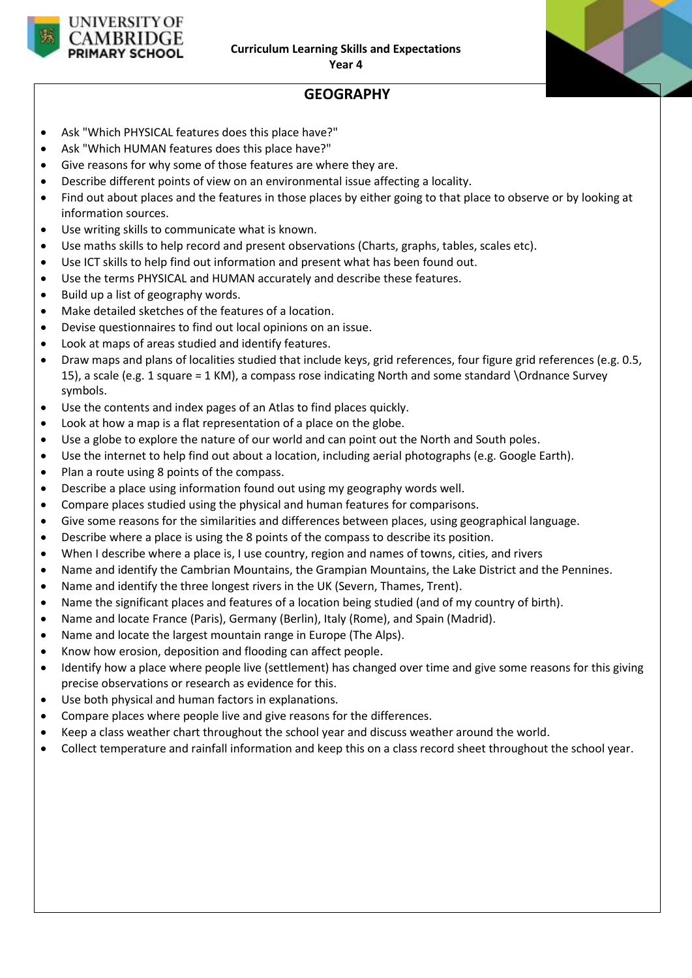

# **GEOGRAPHY**

- Ask "Which PHYSICAL features does this place have?"
- Ask "Which HUMAN features does this place have?"
- Give reasons for why some of those features are where they are.
- Describe different points of view on an environmental issue affecting a locality.
- Find out about places and the features in those places by either going to that place to observe or by looking at information sources.
- Use writing skills to communicate what is known.
- Use maths skills to help record and present observations (Charts, graphs, tables, scales etc).
- Use ICT skills to help find out information and present what has been found out.
- Use the terms PHYSICAL and HUMAN accurately and describe these features.
- Build up a list of geography words.
- Make detailed sketches of the features of a location.
- Devise questionnaires to find out local opinions on an issue.
- Look at maps of areas studied and identify features.
- Draw maps and plans of localities studied that include keys, grid references, four figure grid references (e.g. 0.5, 15), a scale (e.g. 1 square = 1 KM), a compass rose indicating North and some standard \Ordnance Survey symbols.
- Use the contents and index pages of an Atlas to find places quickly.
- Look at how a map is a flat representation of a place on the globe.
- Use a globe to explore the nature of our world and can point out the North and South poles.
- Use the internet to help find out about a location, including aerial photographs (e.g. Google Earth).
- Plan a route using 8 points of the compass.
- Describe a place using information found out using my geography words well.
- Compare places studied using the physical and human features for comparisons.
- Give some reasons for the similarities and differences between places, using geographical language.
- Describe where a place is using the 8 points of the compass to describe its position.
- When I describe where a place is, I use country, region and names of towns, cities, and rivers
- Name and identify the Cambrian Mountains, the Grampian Mountains, the Lake District and the Pennines.
- Name and identify the three longest rivers in the UK (Severn, Thames, Trent).
- Name the significant places and features of a location being studied (and of my country of birth).
- Name and locate France (Paris), Germany (Berlin), Italy (Rome), and Spain (Madrid).
- Name and locate the largest mountain range in Europe (The Alps).
- Know how erosion, deposition and flooding can affect people.
- Identify how a place where people live (settlement) has changed over time and give some reasons for this giving precise observations or research as evidence for this.
- Use both physical and human factors in explanations.
- Compare places where people live and give reasons for the differences.
- Keep a class weather chart throughout the school year and discuss weather around the world.
- Collect temperature and rainfall information and keep this on a class record sheet throughout the school year.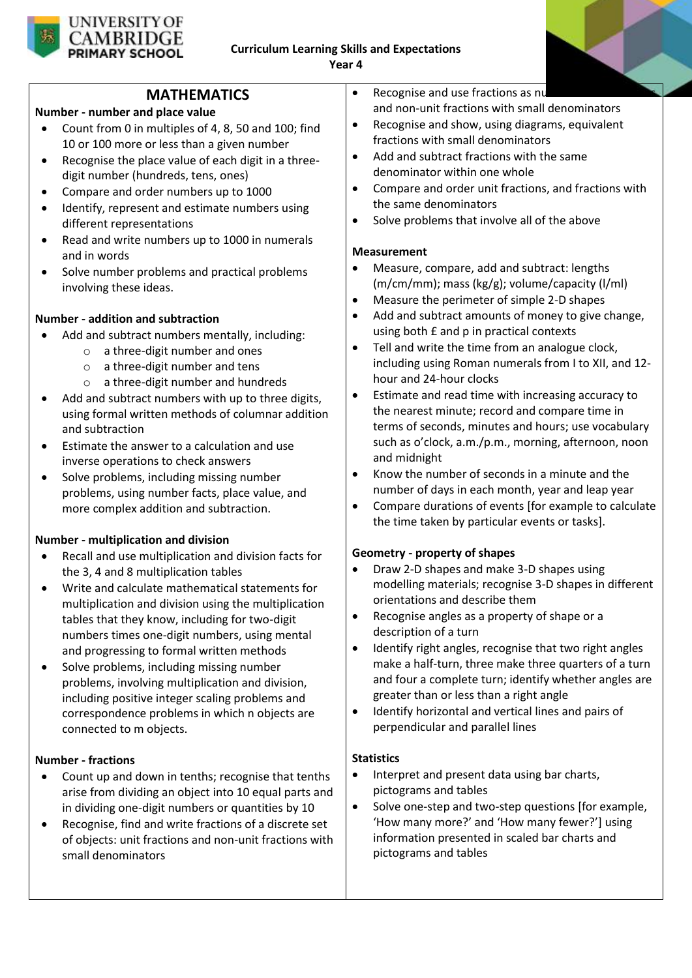

### **MATHEMATICS**

### **Number - number and place value**

- Count from 0 in multiples of 4, 8, 50 and 100; find 10 or 100 more or less than a given number
- Recognise the place value of each digit in a threedigit number (hundreds, tens, ones)
- Compare and order numbers up to 1000
- Identify, represent and estimate numbers using different representations
- Read and write numbers up to 1000 in numerals and in words
- Solve number problems and practical problems involving these ideas.

### **Number - addition and subtraction**

- Add and subtract numbers mentally, including:
	- o a three-digit number and ones
	- o a three-digit number and tens
	- o a three-digit number and hundreds
- Add and subtract numbers with up to three digits, using formal written methods of columnar addition and subtraction
- Estimate the answer to a calculation and use inverse operations to check answers
- Solve problems, including missing number problems, using number facts, place value, and more complex addition and subtraction.

### **Number - multiplication and division**

- Recall and use multiplication and division facts for the 3, 4 and 8 multiplication tables
- Write and calculate mathematical statements for multiplication and division using the multiplication tables that they know, including for two-digit numbers times one-digit numbers, using mental and progressing to formal written methods
- Solve problems, including missing number problems, involving multiplication and division, including positive integer scaling problems and correspondence problems in which n objects are connected to m objects.

### **Number - fractions**

- Count up and down in tenths; recognise that tenths arise from dividing an object into 10 equal parts and in dividing one-digit numbers or quantities by 10
- Recognise, find and write fractions of a discrete set of objects: unit fractions and non-unit fractions with small denominators
- $\bullet$  Recognise and use fractions as numbers and non-unit fractions with small denominators
- Recognise and show, using diagrams, equivalent fractions with small denominators
- Add and subtract fractions with the same denominator within one whole
- Compare and order unit fractions, and fractions with the same denominators
- Solve problems that involve all of the above

#### **Measurement**

- Measure, compare, add and subtract: lengths (m/cm/mm); mass (kg/g); volume/capacity (l/ml)
- Measure the perimeter of simple 2-D shapes
- Add and subtract amounts of money to give change, using both £ and p in practical contexts
- Tell and write the time from an analogue clock, including using Roman numerals from I to XII, and 12 hour and 24-hour clocks
- Estimate and read time with increasing accuracy to the nearest minute; record and compare time in terms of seconds, minutes and hours; use vocabulary such as o'clock, a.m./p.m., morning, afternoon, noon and midnight
- Know the number of seconds in a minute and the number of days in each month, year and leap year
- Compare durations of events [for example to calculate the time taken by particular events or tasks].

### **Geometry - property of shapes**

- Draw 2-D shapes and make 3-D shapes using modelling materials; recognise 3-D shapes in different orientations and describe them
- Recognise angles as a property of shape or a description of a turn
- Identify right angles, recognise that two right angles make a half-turn, three make three quarters of a turn and four a complete turn; identify whether angles are greater than or less than a right angle
- Identify horizontal and vertical lines and pairs of perpendicular and parallel lines

#### **Statistics**

- Interpret and present data using bar charts, pictograms and tables
- Solve one-step and two-step questions [for example, 'How many more?' and 'How many fewer?'] using information presented in scaled bar charts and pictograms and tables

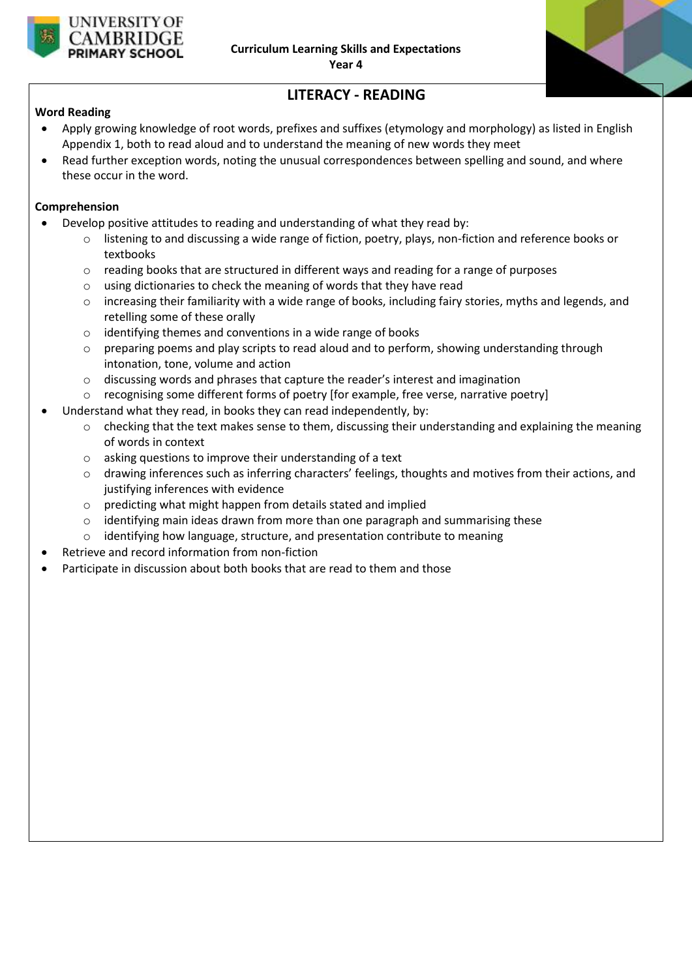



# **LITERACY - READING**

#### **Word Reading**

- Apply growing knowledge of root words, prefixes and suffixes (etymology and morphology) as listed in English Appendix 1, both to read aloud and to understand the meaning of new words they meet
- Read further exception words, noting the unusual correspondences between spelling and sound, and where these occur in the word.

#### **Comprehension**

- Develop positive attitudes to reading and understanding of what they read by:
	- o listening to and discussing a wide range of fiction, poetry, plays, non-fiction and reference books or textbooks
	- $\circ$  reading books that are structured in different ways and reading for a range of purposes
	- o using dictionaries to check the meaning of words that they have read
	- o increasing their familiarity with a wide range of books, including fairy stories, myths and legends, and retelling some of these orally
	- o identifying themes and conventions in a wide range of books
	- $\circ$  preparing poems and play scripts to read aloud and to perform, showing understanding through intonation, tone, volume and action
	- o discussing words and phrases that capture the reader's interest and imagination
	- $\circ$  recognising some different forms of poetry [for example, free verse, narrative poetry]
- Understand what they read, in books they can read independently, by:
	- $\circ$  checking that the text makes sense to them, discussing their understanding and explaining the meaning of words in context
	- o asking questions to improve their understanding of a text
	- o drawing inferences such as inferring characters' feelings, thoughts and motives from their actions, and justifying inferences with evidence
	- $\circ$  predicting what might happen from details stated and implied
	- $\circ$  identifying main ideas drawn from more than one paragraph and summarising these
	- o identifying how language, structure, and presentation contribute to meaning
- Retrieve and record information from non-fiction
- Participate in discussion about both books that are read to them and those